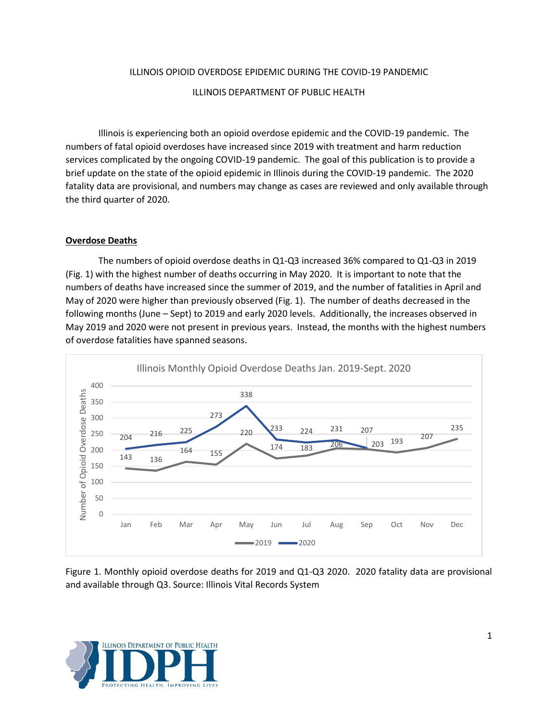## ILLINOIS OPIOID OVERDOSE EPIDEMIC DURING THE COVID-19 PANDEMIC

#### ILLINOIS DEPARTMENT OF PUBLIC HEALTH

Illinois is experiencing both an opioid overdose epidemic and the COVID-19 pandemic. The numbers of fatal opioid overdoses have increased since 2019 with treatment and harm reduction services complicated by the ongoing COVID-19 pandemic. The goal of this publication is to provide a brief update on the state of the opioid epidemic in Illinois during the COVID-19 pandemic. The 2020 fatality data are provisional, and numbers may change as cases are reviewed and only available through the third quarter of 2020.

#### **Overdose Deaths**

The numbers of opioid overdose deaths in Q1-Q3 increased 36% compared to Q1-Q3 in 2019 (Fig. 1) with the highest number of deaths occurring in May 2020. It is important to note that the numbers of deaths have increased since the summer of 2019, and the number of fatalities in April and May of 2020 were higher than previously observed (Fig. 1). The number of deaths decreased in the following months (June – Sept) to 2019 and early 2020 levels. Additionally, the increases observed in May 2019 and 2020 were not present in previous years. Instead, the months with the highest numbers of overdose fatalities have spanned seasons.



Figure 1. Monthly opioid overdose deaths for 2019 and Q1-Q3 2020. 2020 fatality data are provisional and available through Q3. Source: Illinois Vital Records System

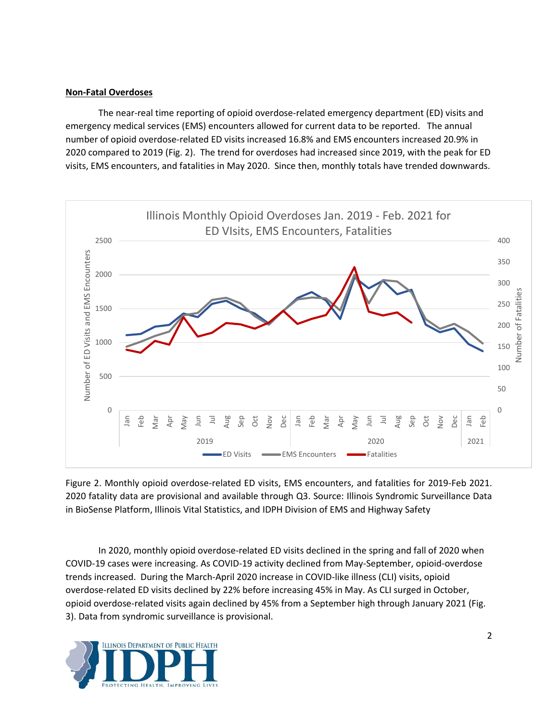## **Non-Fatal Overdoses**

The near-real time reporting of opioid overdose-related emergency department (ED) visits and emergency medical services (EMS) encounters allowed for current data to be reported. The annual number of opioid overdose-related ED visits increased 16.8% and EMS encounters increased 20.9% in 2020 compared to 2019 (Fig. 2). The trend for overdoses had increased since 2019, with the peak for ED visits, EMS encounters, and fatalities in May 2020. Since then, monthly totals have trended downwards.



Figure 2. Monthly opioid overdose-related ED visits, EMS encounters, and fatalities for 2019-Feb 2021. 2020 fatality data are provisional and available through Q3. Source: Illinois Syndromic Surveillance Data in BioSense Platform, Illinois Vital Statistics, and IDPH Division of EMS and Highway Safety

In 2020, monthly opioid overdose-related ED visits declined in the spring and fall of 2020 when COVID-19 cases were increasing. As COVID-19 activity declined from May-September, opioid-overdose trends increased. During the March-April 2020 increase in COVID-like illness (CLI) visits, opioid overdose-related ED visits declined by 22% before increasing 45% in May. As CLI surged in October, opioid overdose-related visits again declined by 45% from a September high through January 2021 (Fig. 3). Data from syndromic surveillance is provisional.

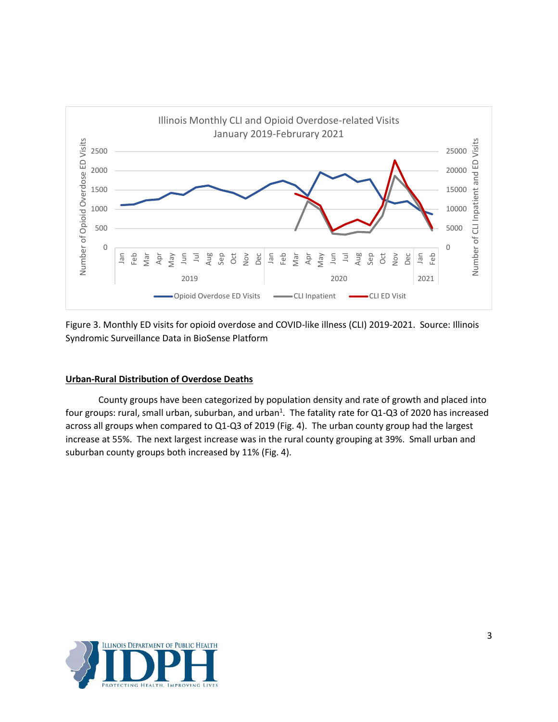

Figure 3. Monthly ED visits for opioid overdose and COVID-like illness (CLI) 2019-2021. Source: Illinois Syndromic Surveillance Data in BioSense Platform

# **Urban-Rural Distribution of Overdose Deaths**

County groups have been categorized by population density and rate of growth and placed into four groups: rural, small urban, suburban, and urban<sup>1</sup>. The fatality rate for Q1-Q3 of 2020 has increased across all groups when compared to Q1-Q3 of 2019 (Fig. 4). The urban county group had the largest increase at 55%. The next largest increase was in the rural county grouping at 39%. Small urban and suburban county groups both increased by 11% (Fig. 4).

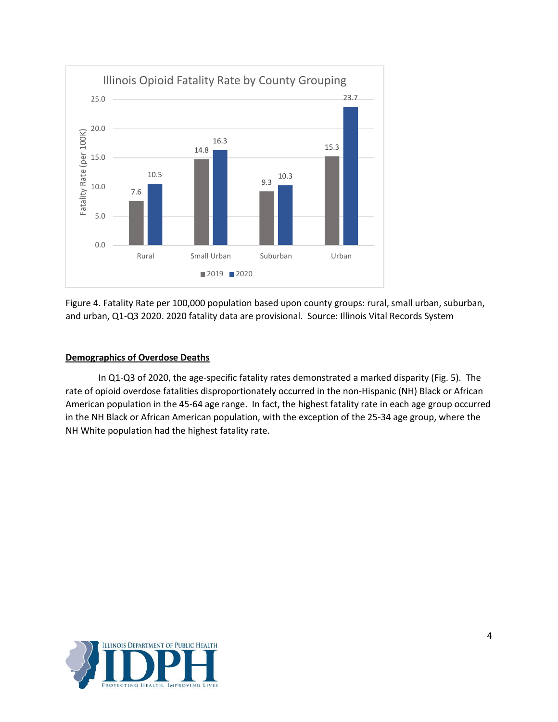

Figure 4. Fatality Rate per 100,000 population based upon county groups: rural, small urban, suburban, and urban, Q1-Q3 2020. 2020 fatality data are provisional. Source: Illinois Vital Records System

## **Demographics of Overdose Deaths**

In Q1-Q3 of 2020, the age-specific fatality rates demonstrated a marked disparity (Fig. 5). The rate of opioid overdose fatalities disproportionately occurred in the non-Hispanic (NH) Black or African American population in the 45-64 age range. In fact, the highest fatality rate in each age group occurred in the NH Black or African American population, with the exception of the 25-34 age group, where the NH White population had the highest fatality rate.